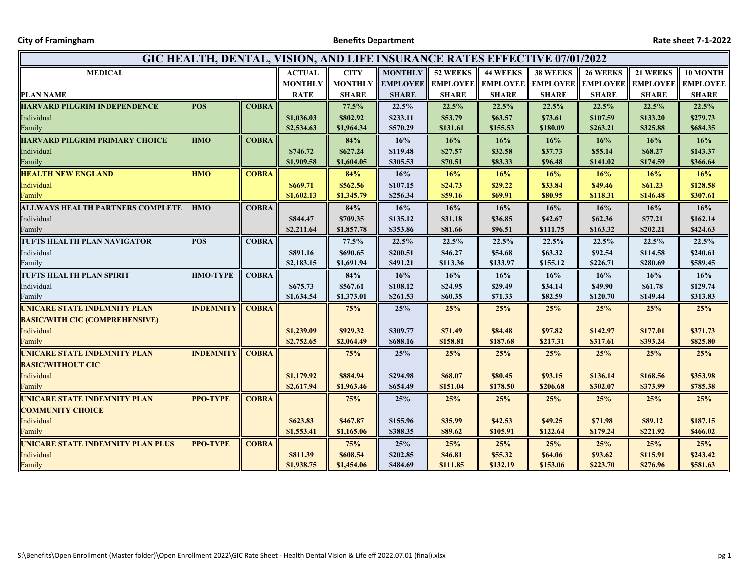**City of Framingham Benefits Department Rate sheet 7‐1‐2022**

| GIC HEALTH, DENTAL, VISION, AND LIFE INSURANCE RATES EFFECTIVE 07/01/2022 |                  |              |                |                |                 |                 |                 |                 |                          |                 |                 |
|---------------------------------------------------------------------------|------------------|--------------|----------------|----------------|-----------------|-----------------|-----------------|-----------------|--------------------------|-----------------|-----------------|
| <b>MEDICAL</b>                                                            |                  |              | <b>ACTUAL</b>  | <b>CITY</b>    | <b>MONTHLY</b>  | 52 WEEKS        | <b>44 WEEKS</b> | <b>38 WEEKS</b> | <b>26 WEEKS</b>          | 21 WEEKS        | 10 MONTH        |
|                                                                           |                  |              | <b>MONTHLY</b> | <b>MONTHLY</b> | <b>EMPLOYEE</b> | <b>EMPLOYEE</b> | <b>EMPLOYEE</b> |                 | <b>EMPLOYEE</b> EMPLOYEE | <b>EMPLOYEE</b> | <b>EMPLOYEE</b> |
| <b>PLAN NAME</b>                                                          |                  |              | <b>RATE</b>    | <b>SHARE</b>   | <b>SHARE</b>    | <b>SHARE</b>    | <b>SHARE</b>    | <b>SHARE</b>    | <b>SHARE</b>             | <b>SHARE</b>    | <b>SHARE</b>    |
| <b>HARVARD PILGRIM INDEPENDENCE</b>                                       | <b>POS</b>       | <b>COBRA</b> |                | 77.5%          | 22.5%           | 22.5%           | 22.5%           | 22.5%           | 22.5%                    | 22.5%           | 22.5%           |
| Individual                                                                |                  |              | \$1,036.03     | \$802.92       | \$233.11        | \$53.79         | \$63.57         | \$73.61         | \$107.59                 | \$133.20        | \$279.73        |
| Family                                                                    |                  |              | \$2,534.63     | \$1,964.34     | \$570.29        | \$131.61        | \$155.53        | \$180.09        | \$263.21                 | \$325.88        | \$684.35        |
| <b>HARVARD PILGRIM PRIMARY CHOICE</b>                                     | <b>HMO</b>       | <b>COBRA</b> |                | 84%            | 16%             | 16%             | 16%             | 16%             | 16%                      | 16%             | 16%             |
| Individual                                                                |                  |              | \$746.72       | \$627.24       | \$119.48        | \$27.57         | \$32.58         | \$37.73         | \$55.14                  | \$68.27         | \$143.37        |
| Family                                                                    |                  |              | \$1,909.58     | \$1,604.05     | \$305.53        | \$70.51         | \$83.33         | \$96.48         | \$141.02                 | \$174.59        | \$366.64        |
| <b>HEALTH NEW ENGLAND</b>                                                 | <b>HMO</b>       | <b>COBRA</b> |                | 84%            | 16%             | 16%             | 16%             | 16%             | 16%                      | 16%             | 16%             |
| Individual                                                                |                  |              | \$669.71       | \$562.56       | \$107.15        | \$24.73         | \$29.22         | \$33.84         | \$49.46                  | \$61.23         | \$128.58        |
| Family                                                                    |                  |              | \$1,602.13     | \$1,345.79     | \$256.34        | \$59.16         | \$69.91         | \$80.95         | \$118.31                 | \$146.48        | \$307.61        |
| ALLWAYS HEALTH PARTNERS COMPLETE HMO                                      |                  | <b>COBRA</b> |                | 84%            | 16%             | 16%             | 16%             | 16%             | 16%                      | 16%             | 16%             |
| Individual                                                                |                  |              | \$844.47       | \$709.35       | \$135.12        | \$31.18         | \$36.85         | \$42.67         | \$62.36                  | \$77.21         | \$162.14        |
| Family                                                                    |                  |              | \$2,211.64     | \$1,857.78     | \$353.86        | \$81.66         | \$96.51         | \$111.75        | \$163.32                 | \$202.21        | \$424.63        |
| TUFTS HEALTH PLAN NAVIGATOR                                               | <b>POS</b>       | <b>COBRA</b> |                | 77.5%          | 22.5%           | 22.5%           | 22.5%           | 22.5%           | 22.5%                    | 22.5%           | 22.5%           |
| Individual                                                                |                  |              | \$891.16       | \$690.65       | \$200.51        | \$46.27         | \$54.68         | \$63.32         | \$92.54                  | \$114.58        | \$240.61        |
| Family                                                                    |                  |              | \$2,183.15     | \$1,691.94     | \$491.21        | \$113.36        | \$133.97        | \$155.12        | \$226.71                 | \$280.69        | \$589.45        |
| TUFTS HEALTH PLAN SPIRIT                                                  | <b>HMO-TYPE</b>  | <b>COBRA</b> |                | 84%            | 16%             | 16%             | 16%             | 16%             | 16%                      | 16%             | 16%             |
| Individual                                                                |                  |              | \$675.73       | \$567.61       | \$108.12        | \$24.95         | \$29.49         | \$34.14         | \$49.90                  | \$61.78         | \$129.74        |
| Family                                                                    |                  |              | \$1,634.54     | \$1,373.01     | \$261.53        | \$60.35         | \$71.33         | \$82.59         | \$120.70                 | \$149.44        | \$313.83        |
| UNICARE STATE INDEMNITY PLAN                                              | <b>INDEMNITY</b> | <b>COBRA</b> |                | 75%            | 25%             | 25%             | 25%             | 25%             | 25%                      | 25%             | 25%             |
| <b>BASIC/WITH CIC (COMPREHENSIVE)</b>                                     |                  |              |                |                |                 |                 |                 |                 |                          |                 |                 |
| Individual                                                                |                  |              | \$1,239.09     | \$929.32       | \$309.77        | \$71.49         | \$84.48         | \$97.82         | \$142.97                 | \$177.01        | \$371.73        |
| Family                                                                    |                  |              | \$2,752.65     | \$2,064.49     | \$688.16        | \$158.81        | \$187.68        | \$217.31        | \$317.61                 | \$393.24        | \$825.80        |
| UNICARE STATE INDEMNITY PLAN                                              | <b>INDEMNITY</b> | <b>COBRA</b> |                | 75%            | 25%             | 25%             | 25%             | 25%             | 25%                      | 25%             | 25%             |
| <b>BASIC/WITHOUT CIC</b>                                                  |                  |              |                |                |                 |                 |                 |                 |                          |                 |                 |
| Individual                                                                |                  |              | \$1,179.92     | \$884.94       | \$294.98        | \$68.07         | \$80.45         | \$93.15         | \$136.14                 | \$168.56        | \$353.98        |
| Family                                                                    |                  |              | \$2,617.94     | \$1,963.46     | \$654.49        | \$151.04        | \$178.50        | \$206.68        | \$302.07                 | \$373.99        | \$785.38        |
| UNICARE STATE INDEMNITY PLAN                                              | <b>PPO-TYPE</b>  | <b>COBRA</b> |                | 75%            | 25%             | 25%             | 25%             | 25%             | 25%                      | 25%             | 25%             |
| <b>COMMUNITY CHOICE</b>                                                   |                  |              |                |                |                 |                 |                 |                 |                          |                 |                 |
| Individual                                                                |                  |              | \$623.83       | \$467.87       | \$155.96        | \$35.99         | \$42.53         | \$49.25         | \$71.98                  | \$89.12         | \$187.15        |
| Family                                                                    |                  |              | \$1,553.41     | \$1,165.06     | \$388.35        | \$89.62         | \$105.91        | \$122.64        | \$179.24                 | \$221.92        | \$466.02        |
| UNICARE STATE INDEMNITY PLAN PLUS                                         | <b>PPO-TYPE</b>  | <b>COBRA</b> |                | 75%            | 25%             | 25%             | 25%             | 25%             | 25%                      | 25%             | 25%             |
| Individual                                                                |                  |              | \$811.39       | \$608.54       | \$202.85        | \$46.81         | \$55.32         | \$64.06         | \$93.62                  | \$115.91        | \$243.42        |
| Family                                                                    |                  |              | \$1,938.75     | \$1,454.06     | \$484.69        | \$111.85        | \$132.19        | \$153.06        | \$223.70                 | \$276.96        | \$581.63        |